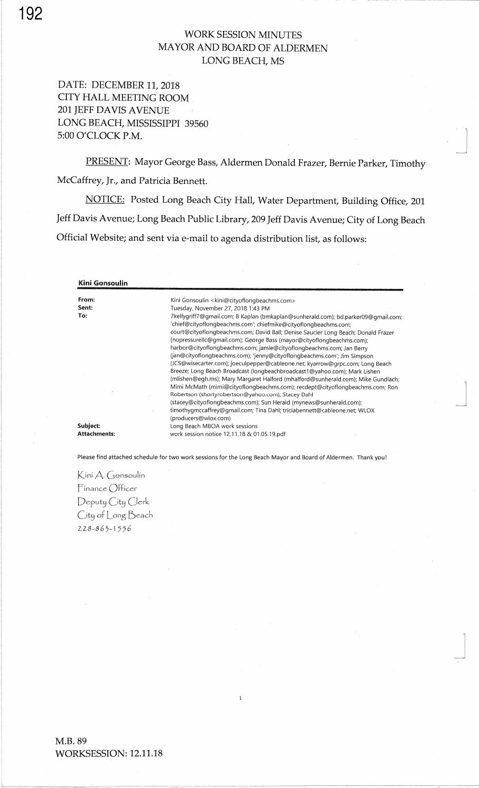## WORK SESSION MINUTES MAYOR AND BOARD OF ALDERMENLONG BEACH, MS

DATE: DECEMBER 11, 2018 CITY HALL MEETING ROOM201 JEFF DAVIS AVENUELONG BEACH, MISSISSIPPI 39560 5:00 O'CLOCK P.M.

PRESENT: Mayor George Bass, Aldermen Donald Frazer, Bernie Parker, TimothyMcCaffrey, Jr., and Patricia Bennett.

-J

NOTICE: Posted Long Beach City Hall, Water Department, Building Office, 201 Jeff Davis Avenue; Long Beach Public Library,2}9 Jeff Davis Avenue; City of Long BeachOfficial Website; and sent via e-mail to agenda distribution list, as follows:

Kini GonsoulinFrom:Sent: To: Subject:**Attachments** Kini Gonsoulin < kini@cityoflongbeachms.com>Tuesday, November 27 , 2018 1:43 PM TkellygriffT@gmail.com; B Kaplan (bmkaplan@sunherald.com); bd.parker0g@gmail.com; 'chief@cityoflongbeachms.com'; chiefmike@cityoflongbeachms.com; court@cityoflongbeachms.com; David Ball; Denise Saucier Long Beach; Donald Frazer (nopressurellc@gmail.com); George Bass (mayor@cityoflongbeachms.com); harbor@cityoflongbeachms.com; jamie@cityof longbeachms.com; Jan Berry (an@cityoflongbeachms.com); jenny@cityoflongbeachms.com'; Jim Simpson (JCS@wisecarter.com);joeculpepper@cableone.net; kyarrow@grpc.com; Long BeachBreeze; Long Beach Broadcast (longbeachbroadcastl @yahoo.com); Mark Lishen (mlishen@egh.ms); Mary Margaret Halford (mhalford@sunherald.com); Mike Gundlach; Mimi McMath (mimi@cityoflongbeachms.com); recdept@cityoflongbeachms.com; RonRobertson (shortyrobertson @yahoo.com); Stacey Dahl (stacey@cityoflongbeachms.com); Sun Herald (mynews@sunherald.com); timothygmccaffrey@gmail.com; Tina Dahl; triciabennett@cableone.net; WLOX(producers@wlox.com)Long Beach MBOA work sessions work session notice 12.11.18 & 01.05.19.pd

Please find attached schedule for two work sessions for the Long Beach Mayor and Board of Aldermen. Thank you!

Kini A. Gonsoulin Finance Officer Deputy City Clerk  $C$ ity of  $\bigcup$ ong  $\bigcup$ each  $228 - 863 - 1556$ 

192

M.B. 89WORKSESSION: 12.11.18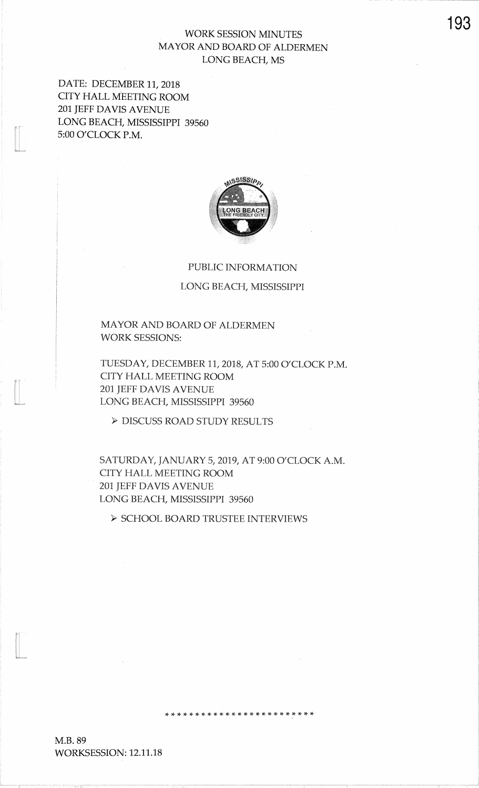# **WORK SESSION MINUTES** MAYOR AND BOARD OF ALDERMEN LONG BEACH, MS

DATE: DECEMBER 11, 2018 CITY HALL MEETING ROOM 201 JEFF DAVIS AVENUE LONG BEACH, MISSISSIPPI 39560 5:00 O'CLOCK P.M.



### PUBLIC INFORMATION

#### LONG BEACH, MISSISSIPPI

MAYOR AND BOARD OF ALDERMEN **WORK SESSIONS:** 

TUESDAY, DECEMBER 11, 2018, AT 5:00 O'CLOCK P.M. CITY HALL MEETING ROOM **201 JEFF DAVIS AVENUE** LONG BEACH, MISSISSIPPI 39560

 $\blacktriangleright$  DISCUSS ROAD STUDY RESULTS

SATURDAY, JANUARY 5, 2019, AT 9:00 O'CLOCK A.M. CITY HALL MEETING ROOM 201 JEFF DAVIS AVENUE LONG BEACH, MISSISSIPPI 39560

 $\triangleright$  SCHOOL BOARD TRUSTEE INTERVIEWS

M.B. 89 WORKSESSION: 12.11.18

193